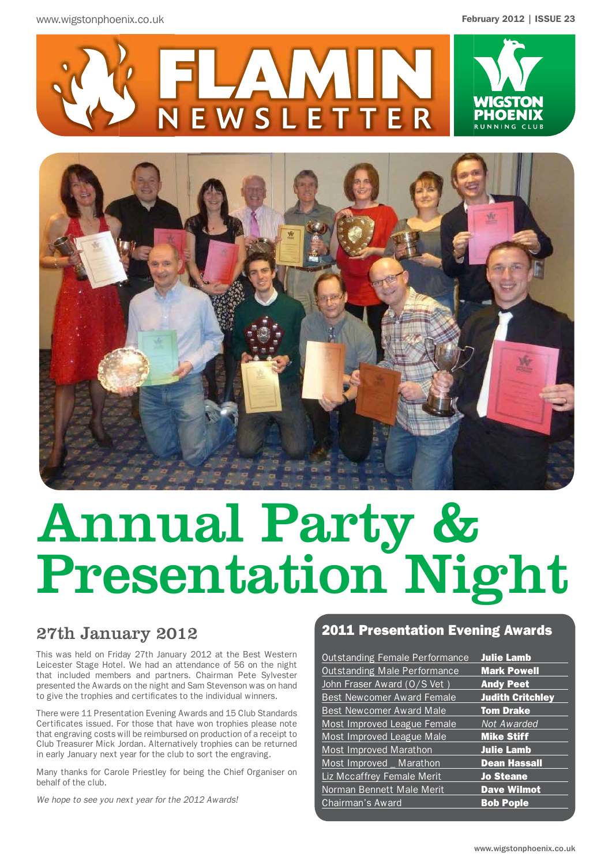



# Annual Party & Presentation Night

### 27th January 2012

This was held on Friday 27th January 2012 at the Best Western Leicester Stage Hotel. We had an attendance of 56 on the night that included members and partners. Chairman Pete Sylvester presented the Awards on the night and Sam Stevenson was on hand to give the trophies and certificates to the individual winners.

There were 11 Presentation Evening Awards and 15 Club Standards Certificates issued. For those that have won trophies please note that engraving costs will be reimbursed on production of a receipt to Club Treasurer Mick Jordan. Alternatively trophies can be returned in early January next year for the club to sort the engraving.

Many thanks for Carole Priestley for being the Chief Organiser on behalf of the club.

*We hope to see you next year for the 2012 Awards!*

### 2011 Presentation Evening Awards

| <b>Outstanding Female Performance</b> | <b>Julie Lamb</b>       |
|---------------------------------------|-------------------------|
| <b>Outstanding Male Performance</b>   | <b>Mark Powell</b>      |
| John Fraser Award (O/S Vet)           | <b>Andy Peet</b>        |
| <b>Best Newcomer Award Female</b>     | <b>Judith Critchley</b> |
| <b>Best Newcomer Award Male</b>       | <b>Tom Drake</b>        |
| Most Improved League Female           | Not Awarded             |
| Most Improved League Male             | <b>Mike Stiff</b>       |
| <b>Most Improved Marathon</b>         | <b>Julie Lamb</b>       |
| Most Improved _ Marathon              | <b>Dean Hassall</b>     |
| Liz Mccaffrey Female Merit            | <b>Jo Steane</b>        |
| Norman Bennett Male Merit             | <b>Dave Wilmot</b>      |
| Chairman's Award                      | <b>Bob Pople</b>        |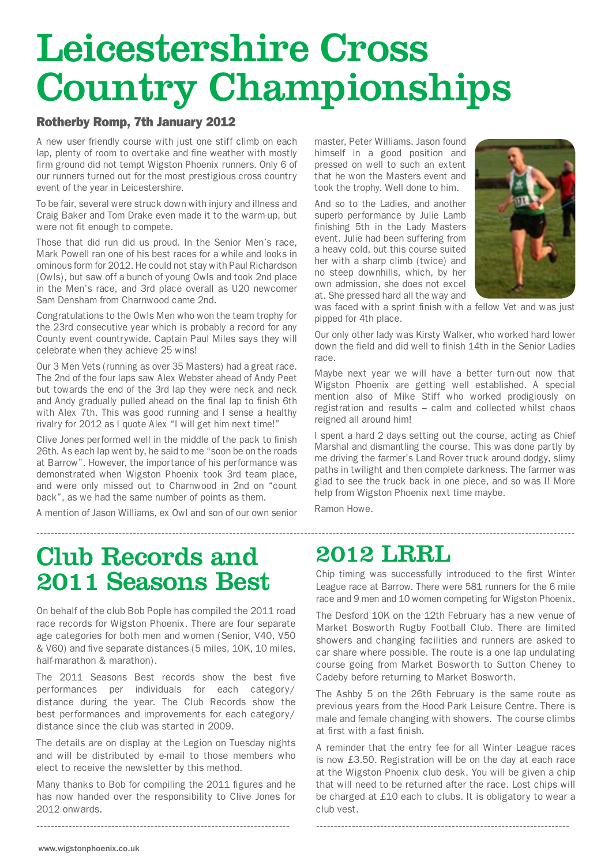# Leicestershire Cross Country Championships

### Rotherby Romp, 7th January 2012

A new user friendly course with just one stiff climb on each lap, plenty of room to overtake and fine weather with mostly firm ground did not tempt Wigston Phoenix runners. Only 6 of our runners turned out for the most prestigious cross country event of the year in Leicestershire.

To be fair, several were struck down with injury and illness and Craig Baker and Tom Drake even made it to the warm-up, but were not fit enough to compete.

Those that did run did us proud. In the Senior Men's race, Mark Powell ran one of his best races for a while and looks in ominous form for 2012. He could not stay with Paul Richardson (Owls), but saw off a bunch of young Owls and took 2nd place in the Men's race, and 3rd place overall as U20 newcomer Sam Densham from Charnwood came 2nd.

Congratulations to the Owls Men who won the team trophy for the 23rd consecutive year which is probably a record for any County event countrywide. Captain Paul Miles says they will celebrate when they achieve 25 wins!

Our 3 Men Vets (running as over 35 Masters) had a great race. The 2nd of the four laps saw Alex Webster ahead of Andy Peet but towards the end of the 3rd lap they were neck and neck and Andy gradually pulled ahead on the final lap to finish 6th with Alex 7th. This was good running and I sense a healthy rivalry for 2012 as I quote Alex "I will get him next time!"

Clive Jones performed well in the middle of the pack to finish 26th. As each lap went by, he said to me "soon be on the roads at Barrow". However, the importance of his performance was demonstrated when Wigston Phoenix took 3rd team place, and were only missed out to Charnwood in 2nd on "count back", as we had the same number of points as them.

A mention of Jason Williams, ex Owl and son of our own senior

master, Peter Williams. Jason found himself in a good position and pressed on well to such an extent that he won the Masters event and took the trophy. Well done to him.

And so to the Ladies, and another superb performance by Julie Lamb finishing 5th in the Lady Masters event. Julie had been suffering from a heavy cold, but this course suited her with a sharp climb (twice) and no steep downhills, which, by her own admission, she does not excel at. She pressed hard all the way and



was faced with a sprint finish with a fellow Vet and was just pipped for 4th place.

Our only other lady was Kirsty Walker, who worked hard lower down the field and did well to finish 14th in the Senior Ladies race.

Maybe next year we will have a better turn-out now that Wigston Phoenix are getting well established. A special mention also of Mike Stiff who worked prodigiously on registration and results – calm and collected whilst chaos reigned all around him!

I spent a hard 2 days setting out the course, acting as Chief Marshal and dismantling the course. This was done partly by me driving the farmer's Land Rover truck around dodgy, slimy paths in twilight and then complete darkness. The farmer was glad to see the truck back in one piece, and so was I! More help from Wigston Phoenix next time maybe.

Ramon Howe.

## Club Records and 2011 Seasons Best

On behalf of the club Bob Pople has compiled the 2011 road race records for Wigston Phoenix. There are four separate age categories for both men and women (Senior, V40, V50 & V60) and five separate distances (5 miles, 10K, 10 miles, half-marathon & marathon).

The 2011 Seasons Best records show the best five performances per individuals for each category/ distance during the year. The Club Records show the best performances and improvements for each category/ distance since the club was started in 2009.

The details are on display at the Legion on Tuesday nights and will be distributed by e-mail to those members who elect to receive the newsletter by this method.

Many thanks to Bob for compiling the 2011 figures and he has now handed over the responsibility to Clive Jones for 2012 onwards.

-----------------------------------------------------------------------

## 2012 LRRL

Chip timing was successfully introduced to the first Winter League race at Barrow. There were 581 runners for the 6 mile race and 9 men and 10 women competing for Wigston Phoenix.

-------------------------------------------------------------------------------------------------------------------------------------------------------

The Desford 10K on the 12th February has a new venue of Market Bosworth Rugby Football Club. There are limited showers and changing facilities and runners are asked to car share where possible. The route is a one lap undulating course going from Market Bosworth to Sutton Cheney to Cadeby before returning to Market Bosworth.

The Ashby 5 on the 26th February is the same route as previous years from the Hood Park Leisure Centre. There is male and female changing with showers. The course climbs at first with a fast finish.

A reminder that the entry fee for all Winter League races is now £3.50. Registration will be on the day at each race at the Wigston Phoenix club desk. You will be given a chip that will need to be returned after the race. Lost chips will be charged at £10 each to clubs. It is obligatory to wear a club vest.

-----------------------------------------------------------------------

www.wigstonphoenix.co.uk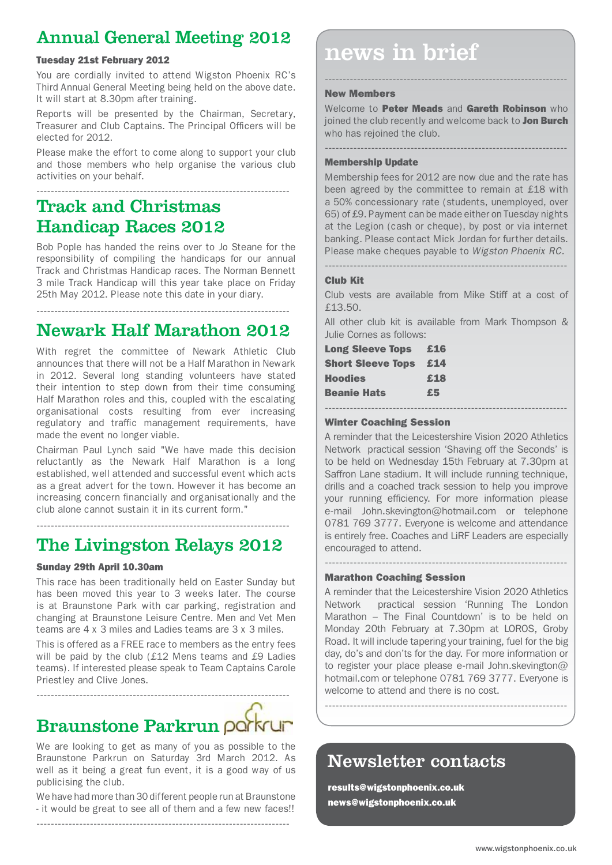### Annual General Meeting 2012

You are cordially invited to attend Wigston Phoenix RC's Third Annual General Meeting being held on the above date. It will start at 8.30pm after training.

Reports will be presented by the Chairman, Secretary, Treasurer and Club Captains. The Principal Officers will be elected for 2012.

Please make the effort to come along to support your club and those members who help organise the various club activities on your behalf.

-----------------------------------------------------------------------

### Track and Christmas Handicap Races 2012

-----------------------------------------------------------------------

Bob Pople has handed the reins over to Jo Steane for the responsibility of compiling the handicaps for our annual Track and Christmas Handicap races. The Norman Bennett 3 mile Track Handicap will this year take place on Friday 25th May 2012. Please note this date in your diary.

### Newark Half Marathon 2012

With regret the committee of Newark Athletic Club announces that there will not be a Half Marathon in Newark in 2012. Several long standing volunteers have stated their intention to step down from their time consuming Half Marathon roles and this, coupled with the escalating organisational costs resulting from ever increasing regulatory and traffic management requirements, have made the event no longer viable.

Chairman Paul Lynch said "We have made this decision reluctantly as the Newark Half Marathon is a long established, well attended and successful event which acts as a great advert for the town. However it has become an increasing concern financially and organisationally and the club alone cannot sustain it in its current form."

### ----------------------------------------------------------------------- The Livingston Relays 2012

### Sunday 29th April 10.30am

This race has been traditionally held on Easter Sunday but has been moved this year to 3 weeks later. The course is at Braunstone Park with car parking, registration and changing at Braunstone Leisure Centre. Men and Vet Men teams are 4 x 3 miles and Ladies teams are 3 x 3 miles.

This is offered as a FREE race to members as the entry fees will be paid by the club (£12 Mens teams and £9 Ladies teams). If interested please speak to Team Captains Carole Priestley and Clive Jones.

# Braunstone Parkrun porkrun

-----------------------------------------------------------------------

We are looking to get as many of you as possible to the Braunstone Parkrun on Saturday 3rd March 2012. As well as it being a great fun event, it is a good way of us publicising the club.

We have had more than 30 different people run at Braunstone - it would be great to see all of them and a few new faces!!

-----------------------------------------------------------------------

Tuesday 21st February 2012 **news** help and the source of the metal metal in brief

### New Members

Welcome to Peter Meads and Gareth Robinson who joined the club recently and welcome back to Jon Burch who has rejoined the club.

--------------------------------------------------------------------

--------------------------------------------------------------------

### Membership Update

Membership fees for 2012 are now due and the rate has been agreed by the committee to remain at £18 with a 50% concessionary rate (students, unemployed, over 65) of £9. Payment can be made either on Tuesday nights at the Legion (cash or cheque), by post or via internet banking. Please contact Mick Jordan for further details. Please make cheques payable to *Wigston Phoenix RC.*

--------------------------------------------------------------------

### Club Kit

Club vests are available from Mike Stiff at a cost of £13.50.

All other club kit is available from Mark Thompson & Julie Cornes as follows:

| <b>Long Sleeve Tops</b>  | £16 |
|--------------------------|-----|
| <b>Short Sleeve Tops</b> | £14 |
| <b>Hoodies</b>           | £18 |
| <b>Beanie Hats</b>       | £5  |
|                          |     |

### Winter Coaching Session

A reminder that the Leicestershire Vision 2020 Athletics Network practical session 'Shaving off the Seconds' is to be held on Wednesday 15th February at 7.30pm at Saffron Lane stadium. It will include running technique, drills and a coached track session to help you improve your running efficiency. For more information please e-mail John.skevington@hotmail.com or telephone 0781 769 3777. Everyone is welcome and attendance is entirely free. Coaches and LiRF Leaders are especially encouraged to attend.

--------------------------------------------------------------------

### Marathon Coaching Session

A reminder that the Leicestershire Vision 2020 Athletics Network practical session 'Running The London Marathon – The Final Countdown' is to be held on Monday 20th February at 7.30pm at LOROS, Groby Road. It will include tapering your training, fuel for the big day, do's and don'ts for the day. For more information or to register your place please e-mail John.skevington@ hotmail.com or telephone 0781 769 3777. Everyone is welcome to attend and there is no cost.

--------------------------------------------------------------------

### Newsletter contacts

results@wigstonphoenix.co.uk news@wigstonphoenix.co.uk